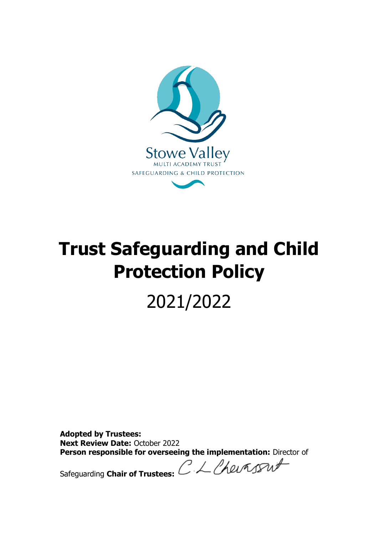

# **Trust Safeguarding and Child Protection Policy**

# 2021/2022

**Adopted by Trustees: Next Review Date:** October 2022 **Person responsible for overseeing the implementation:** Director of<br>Safequarding Chair of Trustees: CALASA

Safeguarding **Chair of Trustees:**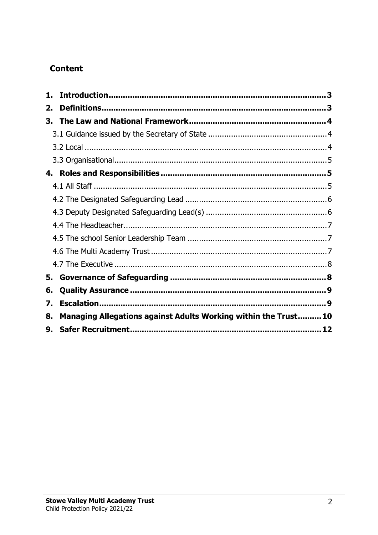# **Content**

| 2.                                                                   |  |
|----------------------------------------------------------------------|--|
| 3.                                                                   |  |
|                                                                      |  |
|                                                                      |  |
|                                                                      |  |
| 4.                                                                   |  |
|                                                                      |  |
|                                                                      |  |
|                                                                      |  |
|                                                                      |  |
|                                                                      |  |
|                                                                      |  |
|                                                                      |  |
| 5.                                                                   |  |
| 6.                                                                   |  |
| 7.                                                                   |  |
| Managing Allegations against Adults Working within the Trust10<br>8. |  |
| 9.                                                                   |  |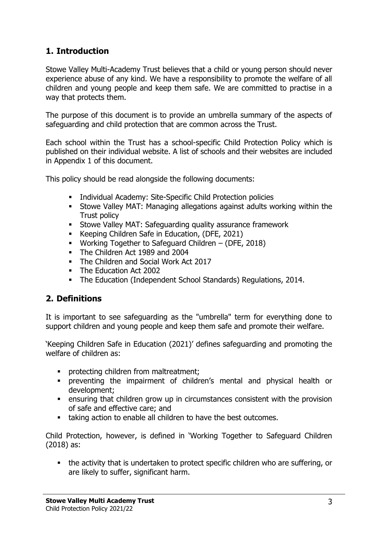# <span id="page-2-0"></span>**1. Introduction**

Stowe Valley Multi-Academy Trust believes that a child or young person should never experience abuse of any kind. We have a responsibility to promote the welfare of all children and young people and keep them safe. We are committed to practise in a way that protects them.

The purpose of this document is to provide an umbrella summary of the aspects of safeguarding and child protection that are common across the Trust.

Each school within the Trust has a school-specific Child Protection Policy which is published on their individual website. A list of schools and their websites are included in Appendix 1 of this document.

This policy should be read alongside the following documents:

- **EXECUTE:** Individual Academy: Site-Specific Child Protection policies
- **EXECT:** Stowe Valley MAT: Managing allegations against adults working within the Trust policy
- **EXECT:** Stowe Valley MAT: Safeguarding quality assurance framework
- Keeping Children Safe in Education, (DFE, 2021)
- Working Together to Safeguard Children (DFE, 2018)
- The Children Act 1989 and 2004
- The Children and Social Work Act 2017
- The Education Act 2002
- The Education (Independent School Standards) Regulations, 2014.

# <span id="page-2-1"></span>**2. Definitions**

It is important to see safeguarding as the "umbrella" term for everything done to support children and young people and keep them safe and promote their welfare.

'Keeping Children Safe in Education (2021)' defines safeguarding and promoting the welfare of children as:

- **•** protecting children from maltreatment;
- preventing the impairment of children's mental and physical health or development;
- ensuring that children grow up in circumstances consistent with the provision of safe and effective care; and
- taking action to enable all children to have the best outcomes.

Child Protection, however, is defined in 'Working Together to Safeguard Children (2018) as:

■ the activity that is undertaken to protect specific children who are suffering, or are likely to suffer, significant harm.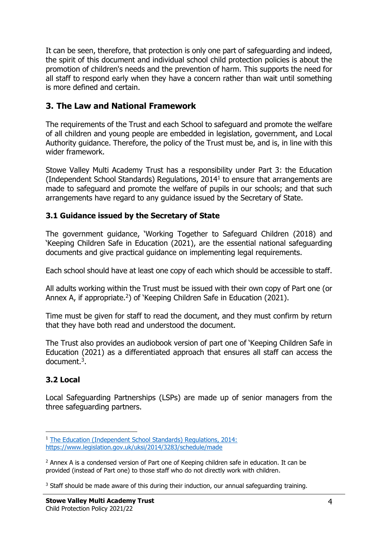It can be seen, therefore, that protection is only one part of safeguarding and indeed, the spirit of this document and individual school child protection policies is about the promotion of children's needs and the prevention of harm. This supports the need for all staff to respond early when they have a concern rather than wait until something is more defined and certain.

# <span id="page-3-0"></span>**3. The Law and National Framework**

The requirements of the Trust and each School to safeguard and promote the welfare of all children and young people are embedded in legislation, government, and Local Authority guidance. Therefore, the policy of the Trust must be, and is, in line with this wider framework.

Stowe Valley Multi Academy Trust has a responsibility under Part 3: the Education (Independent School Standards) Regulations, 2014<sup>1</sup> to ensure that arrangements are made to safeguard and promote the welfare of pupils in our schools; and that such arrangements have regard to any guidance issued by the Secretary of State.

#### <span id="page-3-1"></span>**3.1 Guidance issued by the Secretary of State**

The government guidance, 'Working Together to Safeguard Children (2018) and 'Keeping Children Safe in Education (2021), are the essential national safeguarding documents and give practical guidance on implementing legal requirements.

Each school should have at least one copy of each which should be accessible to staff.

All adults working within the Trust must be issued with their own copy of Part one (or Annex A, if appropriate.<sup>2</sup>) of 'Keeping Children Safe in Education (2021).

Time must be given for staff to read the document, and they must confirm by return that they have both read and understood the document.

The Trust also provides an audiobook version of part one of 'Keeping Children Safe in Education (2021) as a differentiated approach that ensures all staff can access the document.<sup>3</sup>.

# <span id="page-3-2"></span>**3.2 Local**

Local Safeguarding Partnerships (LSPs) are made up of senior managers from the three safeguarding partners.

<sup>&</sup>lt;sup>1</sup> The Education (Independent School Standards) Regulations, 2014:

<https://www.legislation.gov.uk/uksi/2014/3283/schedule/made>

 $2$  Annex A is a condensed version of Part one of Keeping children safe in education. It can be provided (instead of Part one) to those staff who do not directly work with children.

 $3$  Staff should be made aware of this during their induction, our annual safequarding training.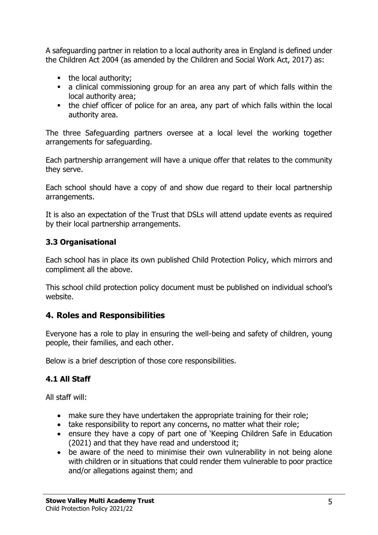A safeguarding partner in relation to a local authority area in England is defined under the Children Act 2004 (as amended by the Children and Social Work Act, 2017) as:

- the local authority;
- a clinical commissioning group for an area any part of which falls within the local authority area;
- the chief officer of police for an area, any part of which falls within the local authority area.

The three Safeguarding partners oversee at a local level the working together arrangements for safeguarding.

Each partnership arrangement will have a unique offer that relates to the community they serve.

Each school should have a copy of and show due regard to their local partnership arrangements.

It is also an expectation of the Trust that DSLs will attend update events as required by their local partnership arrangements.

#### <span id="page-4-0"></span>**3.3 Organisational**

Each school has in place its own published Child Protection Policy, which mirrors and compliment all the above.

This school child protection policy document must be published on individual school's website.

# <span id="page-4-1"></span>**4. Roles and Responsibilities**

Everyone has a role to play in ensuring the well-being and safety of children, young people, their families, and each other.

Below is a brief description of those core responsibilities.

# <span id="page-4-2"></span>**4.1 All Staff**

All staff will:

- make sure they have undertaken the appropriate training for their role;
- take responsibility to report any concerns, no matter what their role;
- ensure they have a copy of part one of 'Keeping Children Safe in Education (2021) and that they have read and understood it;
- be aware of the need to minimise their own vulnerability in not being alone with children or in situations that could render them vulnerable to poor practice and/or allegations against them; and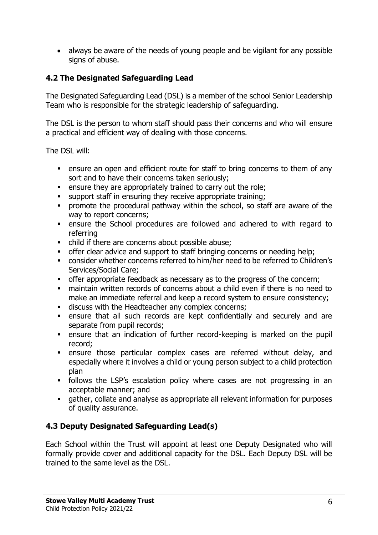• always be aware of the needs of young people and be vigilant for any possible signs of abuse.

#### <span id="page-5-0"></span>**4.2 The Designated Safeguarding Lead**

The Designated Safeguarding Lead (DSL) is a member of the school Senior Leadership Team who is responsible for the strategic leadership of safeguarding.

The DSL is the person to whom staff should pass their concerns and who will ensure a practical and efficient way of dealing with those concerns.

The DSL will:

- ensure an open and efficient route for staff to bring concerns to them of any sort and to have their concerns taken seriously;
- **EXE** ensure they are appropriately trained to carry out the role;
- support staff in ensuring they receive appropriate training;
- promote the procedural pathway within the school, so staff are aware of the way to report concerns;
- ensure the School procedures are followed and adhered to with regard to referring
- child if there are concerns about possible abuse;
- offer clear advice and support to staff bringing concerns or needing help;
- consider whether concerns referred to him/her need to be referred to Children's Services/Social Care;
- **•** offer appropriate feedback as necessary as to the progress of the concern;
- maintain written records of concerns about a child even if there is no need to make an immediate referral and keep a record system to ensure consistency;
- discuss with the Headteacher any complex concerns;
- ensure that all such records are kept confidentially and securely and are separate from pupil records;
- **EXECT** ensure that an indication of further record-keeping is marked on the pupil record;
- ensure those particular complex cases are referred without delay, and especially where it involves a child or young person subject to a child protection plan
- **•** follows the LSP's escalation policy where cases are not progressing in an acceptable manner; and
- gather, collate and analyse as appropriate all relevant information for purposes of quality assurance.

# <span id="page-5-1"></span>**4.3 Deputy Designated Safeguarding Lead(s)**

Each School within the Trust will appoint at least one Deputy Designated who will formally provide cover and additional capacity for the DSL. Each Deputy DSL will be trained to the same level as the DSL.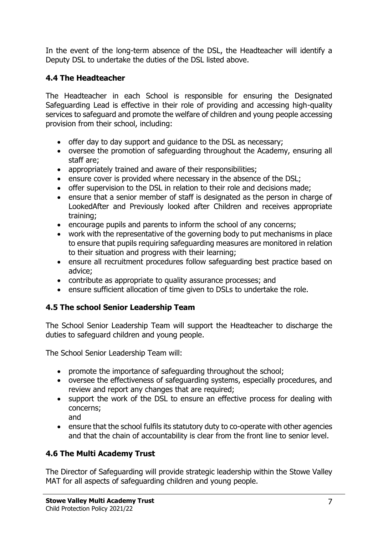In the event of the long-term absence of the DSL, the Headteacher will identify a Deputy DSL to undertake the duties of the DSL listed above.

#### <span id="page-6-0"></span>**4.4 The Headteacher**

The Headteacher in each School is responsible for ensuring the Designated Safeguarding Lead is effective in their role of providing and accessing high-quality services to safeguard and promote the welfare of children and young people accessing provision from their school, including:

- offer day to day support and guidance to the DSL as necessary;
- oversee the promotion of safeguarding throughout the Academy, ensuring all staff are;
- appropriately trained and aware of their responsibilities;
- ensure cover is provided where necessary in the absence of the DSL;
- offer supervision to the DSL in relation to their role and decisions made;
- ensure that a senior member of staff is designated as the person in charge of LookedAfter and Previously looked after Children and receives appropriate training;
- encourage pupils and parents to inform the school of any concerns;
- work with the representative of the governing body to put mechanisms in place to ensure that pupils requiring safeguarding measures are monitored in relation to their situation and progress with their learning;
- ensure all recruitment procedures follow safeguarding best practice based on advice;
- contribute as appropriate to quality assurance processes; and
- ensure sufficient allocation of time given to DSLs to undertake the role.

#### <span id="page-6-1"></span>**4.5 The school Senior Leadership Team**

The School Senior Leadership Team will support the Headteacher to discharge the duties to safeguard children and young people.

The School Senior Leadership Team will:

- promote the importance of safeguarding throughout the school;
- oversee the effectiveness of safeguarding systems, especially procedures, and review and report any changes that are required;
- support the work of the DSL to ensure an effective process for dealing with concerns; and
- ensure that the school fulfils its statutory duty to co-operate with other agencies and that the chain of accountability is clear from the front line to senior level.

# <span id="page-6-2"></span>**4.6 The Multi Academy Trust**

The Director of Safeguarding will provide strategic leadership within the Stowe Valley MAT for all aspects of safeguarding children and young people.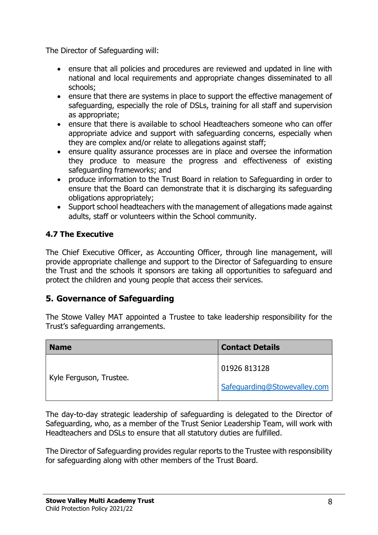The Director of Safeguarding will:

- ensure that all policies and procedures are reviewed and updated in line with national and local requirements and appropriate changes disseminated to all schools;
- ensure that there are systems in place to support the effective management of safeguarding, especially the role of DSLs, training for all staff and supervision as appropriate;
- ensure that there is available to school Headteachers someone who can offer appropriate advice and support with safeguarding concerns, especially when they are complex and/or relate to allegations against staff;
- ensure quality assurance processes are in place and oversee the information they produce to measure the progress and effectiveness of existing safeguarding frameworks; and
- produce information to the Trust Board in relation to Safeguarding in order to ensure that the Board can demonstrate that it is discharging its safeguarding obligations appropriately;
- Support school headteachers with the management of allegations made against adults, staff or volunteers within the School community.

#### <span id="page-7-0"></span>**4.7 The Executive**

The Chief Executive Officer, as Accounting Officer, through line management, will provide appropriate challenge and support to the Director of Safeguarding to ensure the Trust and the schools it sponsors are taking all opportunities to safeguard and protect the children and young people that access their services.

# <span id="page-7-1"></span>**5. Governance of Safeguarding**

The Stowe Valley MAT appointed a Trustee to take leadership responsibility for the Trust's safeguarding arrangements.

| <b>Name</b>             | <b>Contact Details</b>       |
|-------------------------|------------------------------|
|                         | 01926 813128                 |
| Kyle Ferguson, Trustee. | Safeguarding@Stowevalley.com |

The day-to-day strategic leadership of safeguarding is delegated to the Director of Safeguarding, who, as a member of the Trust Senior Leadership Team, will work with Headteachers and DSLs to ensure that all statutory duties are fulfilled.

The Director of Safeguarding provides regular reports to the Trustee with responsibility for safeguarding along with other members of the Trust Board.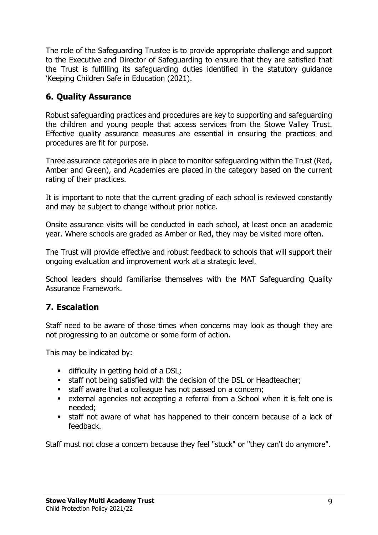The role of the Safeguarding Trustee is to provide appropriate challenge and support to the Executive and Director of Safeguarding to ensure that they are satisfied that the Trust is fulfilling its safeguarding duties identified in the statutory guidance 'Keeping Children Safe in Education (2021).

# <span id="page-8-0"></span>**6. Quality Assurance**

Robust safeguarding practices and procedures are key to supporting and safeguarding the children and young people that access services from the Stowe Valley Trust. Effective quality assurance measures are essential in ensuring the practices and procedures are fit for purpose.

Three assurance categories are in place to monitor safeguarding within the Trust (Red, Amber and Green), and Academies are placed in the category based on the current rating of their practices.

It is important to note that the current grading of each school is reviewed constantly and may be subject to change without prior notice.

Onsite assurance visits will be conducted in each school, at least once an academic year. Where schools are graded as Amber or Red, they may be visited more often.

The Trust will provide effective and robust feedback to schools that will support their ongoing evaluation and improvement work at a strategic level.

School leaders should familiarise themselves with the MAT Safeguarding Quality Assurance Framework.

# <span id="page-8-1"></span>**7. Escalation**

Staff need to be aware of those times when concerns may look as though they are not progressing to an outcome or some form of action.

This may be indicated by:

- **•** difficulty in getting hold of a DSL;
- staff not being satisfied with the decision of the DSL or Headteacher;
- **EXECTE Staff aware that a colleague has not passed on a concern;**
- external agencies not accepting a referral from a School when it is felt one is needed;
- **Example 1** staff not aware of what has happened to their concern because of a lack of feedback.

Staff must not close a concern because they feel "stuck" or "they can't do anymore".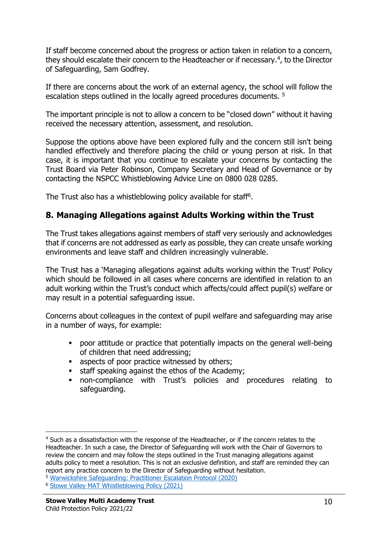If staff become concerned about the progress or action taken in relation to a concern, they should escalate their concern to the Headteacher or if necessary.<sup>4</sup>, to the Director of Safeguarding, Sam Godfrey.

If there are concerns about the work of an external agency, the school will follow the escalation steps outlined in the locally agreed procedures documents. <sup>5</sup>

The important principle is not to allow a concern to be "closed down" without it having received the necessary attention, assessment, and resolution.

Suppose the options above have been explored fully and the concern still isn't being handled effectively and therefore placing the child or young person at risk. In that case, it is important that you continue to escalate your concerns by contacting the Trust Board via Peter Robinson, Company Secretary and Head of Governance or by contacting the NSPCC Whistleblowing Advice Line on 0800 028 0285.

The Trust also has a whistleblowing policy available for staff<sup>6</sup>.

# <span id="page-9-0"></span>**8. Managing Allegations against Adults Working within the Trust**

The Trust takes allegations against members of staff very seriously and acknowledges that if concerns are not addressed as early as possible, they can create unsafe working environments and leave staff and children increasingly vulnerable.

The Trust has a 'Managing allegations against adults working within the Trust' Policy which should be followed in all cases where concerns are identified in relation to an adult working within the Trust's conduct which affects/could affect pupil(s) welfare or may result in a potential safeguarding issue.

Concerns about colleagues in the context of pupil welfare and safeguarding may arise in a number of ways, for example:

- **•** poor attitude or practice that potentially impacts on the general well-being of children that need addressing;
- aspects of poor practice witnessed by others;
- staff speaking against the ethos of the Academy;
- non-compliance with Trust's policies and procedures relating to safeguarding.

<sup>4</sup> Such as a dissatisfaction with the response of the Headteacher, or if the concern relates to the Headteacher. In such a case, the Director of Safeguarding will work with the Chair of Governors to review the concern and may follow the steps outlined in the Trust managing allegations against adults policy to meet a resolution. This is not an exclusive definition, and staff are reminded they can report any practice concern to the Director of Safeguarding without hesitation.

<sup>5</sup> [Warwickshire Safeguarding: Practitioner Escalation Protocol \(2020\)](https://www.safeguardingwarwickshire.co.uk/images/downloads/Escalation_Policy/WS_Professional_Escalation_Protocol_FINAL_Copy_v60__24_07_2020_.pdf)

<sup>6</sup> [Stowe Valley MAT Whistleblowing Policy \(2021\)](https://resources.finalsite.net/images/v1612267195/southamcollegecom/a2uugmr39sjw494m1bff/PublicInterestDisclosureWhistleblowingPolicy.pdf)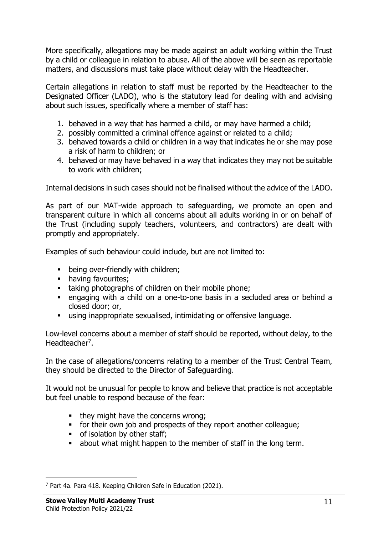More specifically, allegations may be made against an adult working within the Trust by a child or colleague in relation to abuse. All of the above will be seen as reportable matters, and discussions must take place without delay with the Headteacher.

Certain allegations in relation to staff must be reported by the Headteacher to the Designated Officer (LADO), who is the statutory lead for dealing with and advising about such issues, specifically where a member of staff has:

- 1. behaved in a way that has harmed a child, or may have harmed a child;
- 2. possibly committed a criminal offence against or related to a child;
- 3. behaved towards a child or children in a way that indicates he or she may pose a risk of harm to children; or
- 4. behaved or may have behaved in a way that indicates they may not be suitable to work with children;

Internal decisions in such cases should not be finalised without the advice of the LADO.

As part of our MAT-wide approach to safeguarding, we promote an open and transparent culture in which all concerns about all adults working in or on behalf of the Trust (including supply teachers, volunteers, and contractors) are dealt with promptly and appropriately.

Examples of such behaviour could include, but are not limited to:

- **•** being over-friendly with children;
- **•** having favourites;
- taking photographs of children on their mobile phone;
- engaging with a child on a one-to-one basis in a secluded area or behind a closed door; or,
- using inappropriate sexualised, intimidating or offensive language.

Low-level concerns about a member of staff should be reported, without delay, to the Headteacher<sup>7</sup>.

In the case of allegations/concerns relating to a member of the Trust Central Team, they should be directed to the Director of Safeguarding.

It would not be unusual for people to know and believe that practice is not acceptable but feel unable to respond because of the fear:

- they might have the concerns wrong;
- for their own job and prospects of they report another colleague;
- of isolation by other staff;
- about what might happen to the member of staff in the long term.

<sup>7</sup> Part 4a. Para 418. Keeping Children Safe in Education (2021).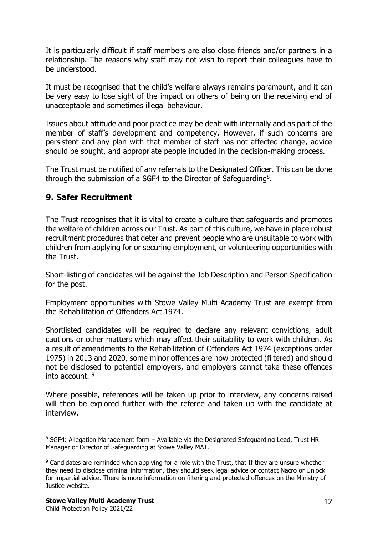It is particularly difficult if staff members are also close friends and/or partners in a relationship. The reasons why staff may not wish to report their colleagues have to be understood.

It must be recognised that the child's welfare always remains paramount, and it can be very easy to lose sight of the impact on others of being on the receiving end of unacceptable and sometimes illegal behaviour.

Issues about attitude and poor practice may be dealt with internally and as part of the member of staff's development and competency. However, if such concerns are persistent and any plan with that member of staff has not affected change, advice should be sought, and appropriate people included in the decision-making process.

The Trust must be notified of any referrals to the Designated Officer. This can be done through the submission of a SGF4 to the Director of Safeguarding<sup>8</sup>.

# <span id="page-11-0"></span>**9. Safer Recruitment**

The Trust recognises that it is vital to create a culture that safeguards and promotes the welfare of children across our Trust. As part of this culture, we have in place robust recruitment procedures that deter and prevent people who are unsuitable to work with children from applying for or securing employment, or volunteering opportunities with the Trust.

Short-listing of candidates will be against the Job Description and Person Specification for the post.

Employment opportunities with Stowe Valley Multi Academy Trust are exempt from the Rehabilitation of Offenders Act 1974.

Shortlisted candidates will be required to declare any relevant convictions, adult cautions or other matters which may affect their suitability to work with children. As a result of amendments to the Rehabilitation of Offenders Act 1974 (exceptions order 1975) in 2013 and 2020, some minor offences are now protected (filtered) and should not be disclosed to potential employers, and employers cannot take these offences into account. <sup>9</sup>

Where possible, references will be taken up prior to interview, any concerns raised will then be explored further with the referee and taken up with the candidate at interview.

<sup>8</sup> SGF4: Allegation Management form - Available via the Designated Safeguarding Lead, Trust HR Manager or Director of Safeguarding at Stowe Valley MAT.

<sup>&</sup>lt;sup>9</sup> Candidates are reminded when applying for a role with the Trust, that If they are unsure whether they need to disclose criminal information, they should seek legal advice or contact Nacro or Unlock for impartial advice. There is more information on filtering and protected offences on the Ministry of Justice website.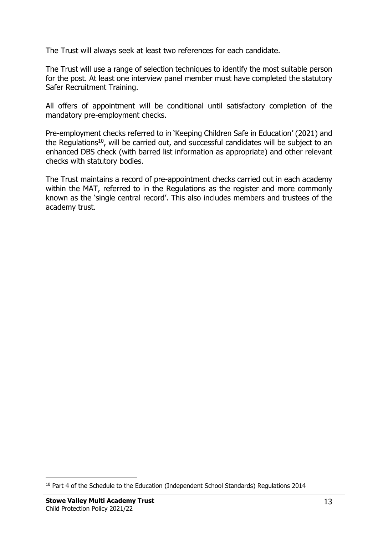The Trust will always seek at least two references for each candidate.

The Trust will use a range of selection techniques to identify the most suitable person for the post. At least one interview panel member must have completed the statutory Safer Recruitment Training.

All offers of appointment will be conditional until satisfactory completion of the mandatory pre-employment checks.

Pre-employment checks referred to in 'Keeping Children Safe in Education' (2021) and the Regulations<sup>10</sup>, will be carried out, and successful candidates will be subject to an enhanced DBS check (with barred list information as appropriate) and other relevant checks with statutory bodies.

The Trust maintains a record of pre-appointment checks carried out in each academy within the MAT, referred to in the Regulations as the register and more commonly known as the 'single central record'. This also includes members and trustees of the academy trust.

<sup>&</sup>lt;sup>10</sup> Part 4 of the Schedule to the Education (Independent School Standards) Regulations 2014